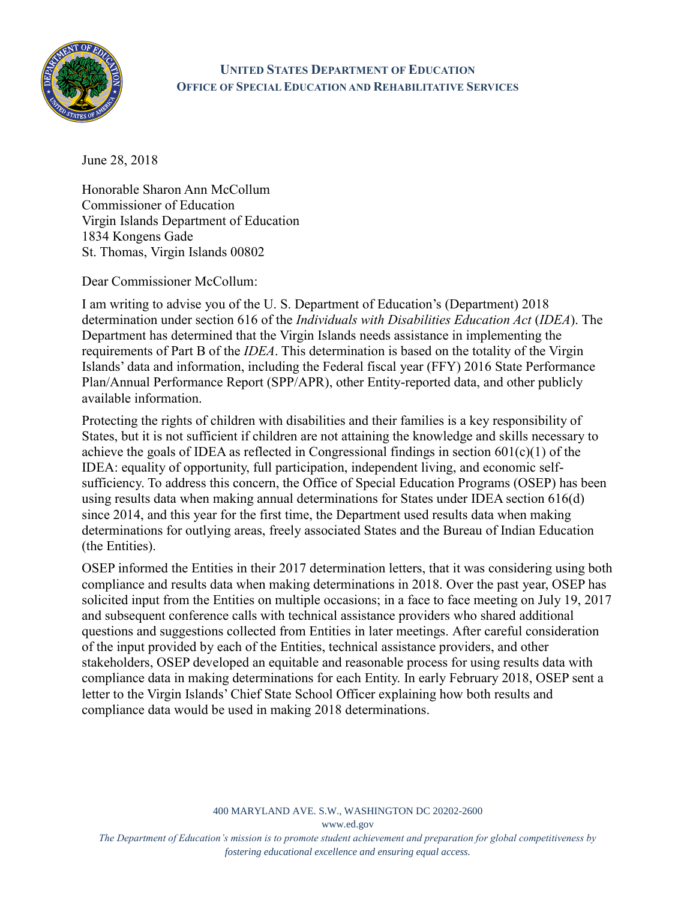

## **UNITED STATES DEPARTMENT OF EDUCATION OFFICE OF SPECIAL EDUCATION AND REHABILITATIVE SERVICES**

June 28, 2018

Honorable Sharon Ann McCollum Commissioner of Education Virgin Islands Department of Education 1834 Kongens Gade St. Thomas, Virgin Islands 00802

Dear Commissioner McCollum:

I am writing to advise you of the U. S. Department of Education's (Department) 2018 determination under section 616 of the *Individuals with Disabilities Education Act* (*IDEA*). The Department has determined that the Virgin Islands needs assistance in implementing the requirements of Part B of the *IDEA*. This determination is based on the totality of the Virgin Islands' data and information, including the Federal fiscal year (FFY) 2016 State Performance Plan/Annual Performance Report (SPP/APR), other Entity-reported data, and other publicly available information.

Protecting the rights of children with disabilities and their families is a key responsibility of States, but it is not sufficient if children are not attaining the knowledge and skills necessary to achieve the goals of IDEA as reflected in Congressional findings in section  $601(c)(1)$  of the IDEA: equality of opportunity, full participation, independent living, and economic selfsufficiency. To address this concern, the Office of Special Education Programs (OSEP) has been using results data when making annual determinations for States under IDEA section 616(d) since 2014, and this year for the first time, the Department used results data when making determinations for outlying areas, freely associated States and the Bureau of Indian Education (the Entities).

OSEP informed the Entities in their 2017 determination letters, that it was considering using both compliance and results data when making determinations in 2018. Over the past year, OSEP has solicited input from the Entities on multiple occasions; in a face to face meeting on July 19, 2017 and subsequent conference calls with technical assistance providers who shared additional questions and suggestions collected from Entities in later meetings. After careful consideration of the input provided by each of the Entities, technical assistance providers, and other stakeholders, OSEP developed an equitable and reasonable process for using results data with compliance data in making determinations for each Entity. In early February 2018, OSEP sent a letter to the Virgin Islands' Chief State School Officer explaining how both results and compliance data would be used in making 2018 determinations.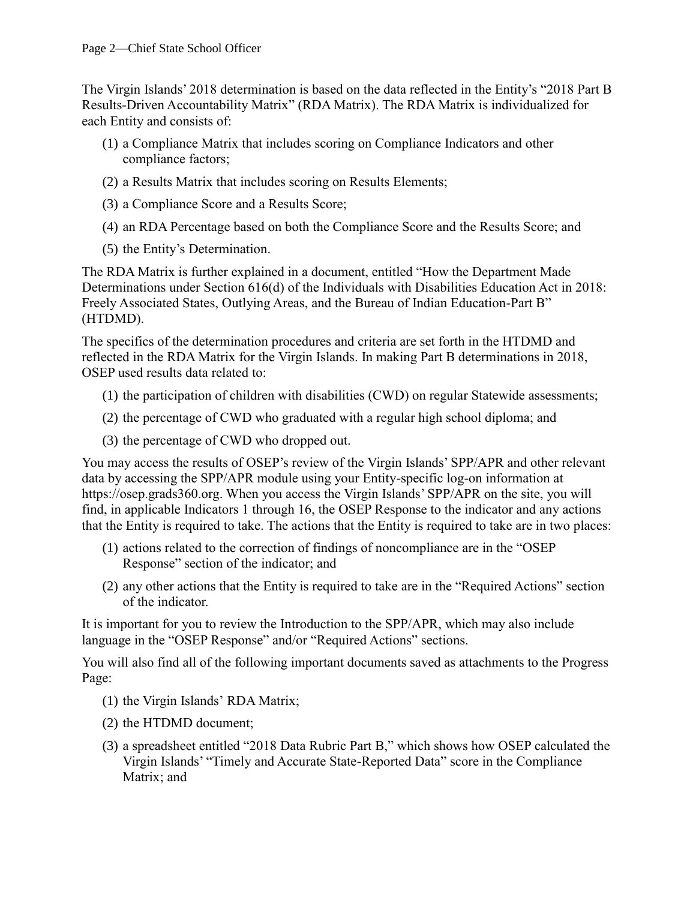The Virgin Islands' 2018 determination is based on the data reflected in the Entity's "2018 Part B Results-Driven Accountability Matrix" (RDA Matrix). The RDA Matrix is individualized for each Entity and consists of:

- (1) a Compliance Matrix that includes scoring on Compliance Indicators and other compliance factors;
- (2) a Results Matrix that includes scoring on Results Elements;
- (3) a Compliance Score and a Results Score;
- (4) an RDA Percentage based on both the Compliance Score and the Results Score; and
- (5) the Entity's Determination.

The RDA Matrix is further explained in a document, entitled "How the Department Made Determinations under Section 616(d) of the Individuals with Disabilities Education Act in 2018: Freely Associated States, Outlying Areas, and the Bureau of Indian Education-Part B" (HTDMD).

The specifics of the determination procedures and criteria are set forth in the HTDMD and reflected in the RDA Matrix for the Virgin Islands. In making Part B determinations in 2018, OSEP used results data related to:

- (1) the participation of children with disabilities (CWD) on regular Statewide assessments;
- (2) the percentage of CWD who graduated with a regular high school diploma; and
- (3) the percentage of CWD who dropped out.

You may access the results of OSEP's review of the Virgin Islands' SPP/APR and other relevant data by accessing the SPP/APR module using your Entity-specific log-on information at [https://osep.grads360.org.](https://osep.grads360.org/) When you access the Virgin Islands' SPP/APR on the site, you will find, in applicable Indicators 1 through 16, the OSEP Response to the indicator and any actions that the Entity is required to take. The actions that the Entity is required to take are in two places:

- (1) actions related to the correction of findings of noncompliance are in the "OSEP Response" section of the indicator; and
- (2) any other actions that the Entity is required to take are in the "Required Actions" section of the indicator.

It is important for you to review the Introduction to the SPP/APR, which may also include language in the "OSEP Response" and/or "Required Actions" sections.

You will also find all of the following important documents saved as attachments to the Progress Page:

- (1) the Virgin Islands' RDA Matrix;
- (2) the HTDMD document;
- (3) a spreadsheet entitled "2018 Data Rubric Part B," which shows how OSEP calculated the Virgin Islands' "Timely and Accurate State-Reported Data" score in the Compliance Matrix; and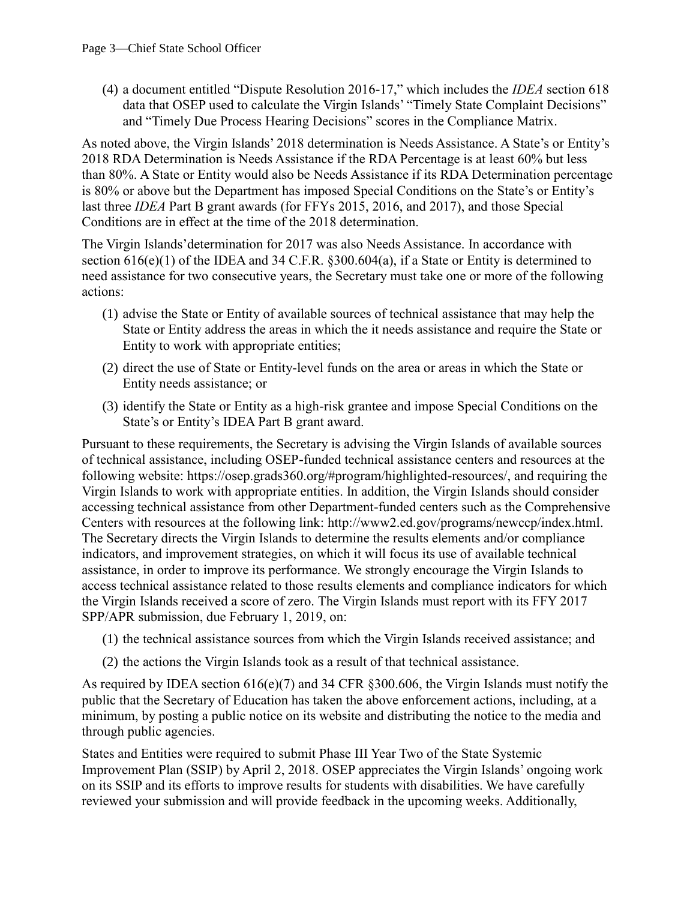(4) a document entitled "Dispute Resolution 2016-17," which includes the *IDEA* section 618 data that OSEP used to calculate the Virgin Islands' "Timely State Complaint Decisions" and "Timely Due Process Hearing Decisions" scores in the Compliance Matrix.

As noted above, the Virgin Islands' 2018 determination is Needs Assistance. A State's or Entity's 2018 RDA Determination is Needs Assistance if the RDA Percentage is at least 60% but less than 80%. A State or Entity would also be Needs Assistance if its RDA Determination percentage is 80% or above but the Department has imposed Special Conditions on the State's or Entity's last three *IDEA* Part B grant awards (for FFYs 2015, 2016, and 2017), and those Special Conditions are in effect at the time of the 2018 determination.

The Virgin Islands'determination for 2017 was also Needs Assistance. In accordance with section 616(e)(1) of the IDEA and 34 C.F.R. §300.604(a), if a State or Entity is determined to need assistance for two consecutive years, the Secretary must take one or more of the following actions:

- (1) advise the State or Entity of available sources of technical assistance that may help the State or Entity address the areas in which the it needs assistance and require the State or Entity to work with appropriate entities;
- (2) direct the use of State or Entity-level funds on the area or areas in which the State or Entity needs assistance; or
- (3) identify the State or Entity as a high-risk grantee and impose Special Conditions on the State's or Entity's IDEA Part B grant award.

Pursuant to these requirements, the Secretary is advising the Virgin Islands of available sources of technical assistance, including OSEP-funded technical assistance centers and resources at the following website: [https://osep.grads360.org/#program/highlighted-resources/,](https://osep.grads360.org/#program/highlighted-resources/) and requiring the Virgin Islands to work with appropriate entities. In addition, the Virgin Islands should consider accessing technical assistance from other Department-funded centers such as the Comprehensive Centers with resources at the following link: [http://www2.ed.gov/programs/newccp/index.html.](http://www2.ed.gov/programs/newccp/index.html) The Secretary directs the Virgin Islands to determine the results elements and/or compliance indicators, and improvement strategies, on which it will focus its use of available technical assistance, in order to improve its performance. We strongly encourage the Virgin Islands to access technical assistance related to those results elements and compliance indicators for which the Virgin Islands received a score of zero. The Virgin Islands must report with its FFY 2017 SPP/APR submission, due February 1, 2019, on:

- (1) the technical assistance sources from which the Virgin Islands received assistance; and
- (2) the actions the Virgin Islands took as a result of that technical assistance.

As required by IDEA section 616(e)(7) and 34 CFR §300.606, the Virgin Islands must notify the public that the Secretary of Education has taken the above enforcement actions, including, at a minimum, by posting a public notice on its website and distributing the notice to the media and through public agencies.

States and Entities were required to submit Phase III Year Two of the State Systemic Improvement Plan (SSIP) by April 2, 2018. OSEP appreciates the Virgin Islands' ongoing work on its SSIP and its efforts to improve results for students with disabilities. We have carefully reviewed your submission and will provide feedback in the upcoming weeks. Additionally,